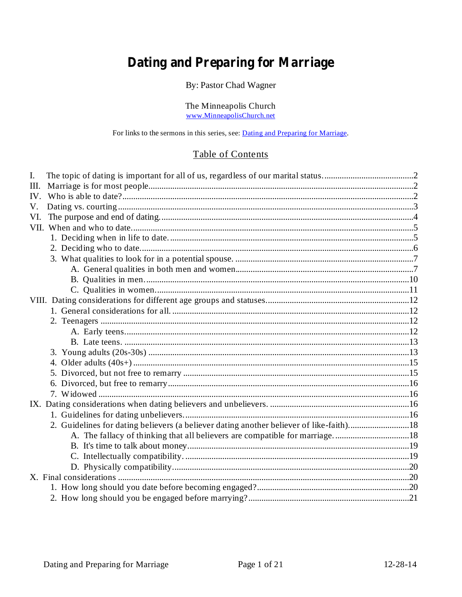## **Dating and Preparing for Marriage**

By: Pastor Chad Wagner

The Minneapolis Church www.MinneapolisChurch.net

For links to the sermons in this series, see: Dating and Preparing for Marriage.

## Table of Contents

| V.<br>VI.<br>A. The fallacy of thinking that all believers are compatible for marriage18 | I.  |  |  |  |
|------------------------------------------------------------------------------------------|-----|--|--|--|
|                                                                                          | Ш.  |  |  |  |
|                                                                                          | IV. |  |  |  |
|                                                                                          |     |  |  |  |
|                                                                                          |     |  |  |  |
|                                                                                          |     |  |  |  |
|                                                                                          |     |  |  |  |
|                                                                                          |     |  |  |  |
|                                                                                          |     |  |  |  |
|                                                                                          |     |  |  |  |
|                                                                                          |     |  |  |  |
|                                                                                          |     |  |  |  |
|                                                                                          |     |  |  |  |
|                                                                                          |     |  |  |  |
|                                                                                          |     |  |  |  |
|                                                                                          |     |  |  |  |
|                                                                                          |     |  |  |  |
|                                                                                          |     |  |  |  |
|                                                                                          |     |  |  |  |
|                                                                                          |     |  |  |  |
|                                                                                          |     |  |  |  |
|                                                                                          |     |  |  |  |
|                                                                                          |     |  |  |  |
|                                                                                          |     |  |  |  |
|                                                                                          |     |  |  |  |
|                                                                                          |     |  |  |  |
|                                                                                          |     |  |  |  |
|                                                                                          |     |  |  |  |
|                                                                                          |     |  |  |  |
|                                                                                          |     |  |  |  |
|                                                                                          |     |  |  |  |
|                                                                                          |     |  |  |  |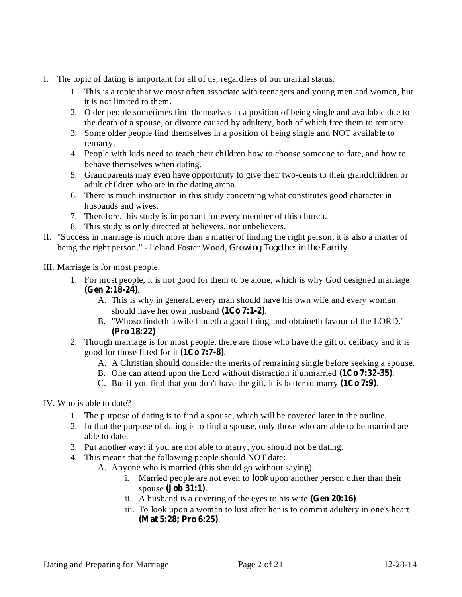- I. The topic of dating is important for all of us, regardless of our marital status.
	- 1. This is a topic that we most often associate with teenagers and young men and women, but it is not limited to them.
	- 2. Older people sometimes find themselves in a position of being single and available due to the death of a spouse, or divorce caused by adultery, both of which free them to remarry.
	- 3. Some older people find themselves in a position of being single and NOT available to remarry.
	- 4. People with kids need to teach their children how to choose someone to date, and how to behave themselves when dating.
	- 5. Grandparents may even have opportunity to give their two-cents to their grandchildren or adult children who are in the dating arena.
	- 6. There is much instruction in this study concerning what constitutes good character in husbands and wives.
	- 7. Therefore, this study is important for every member of this church.
	- 8. This study is only directed at believers, not unbelievers.
- II. "Success in marriage is much more than a matter of finding the right person; it is also a matter of being the right person." - Leland Foster Wood, *Growing Together in the Family*
- III. Marriage is for most people.
	- 1. For most people, it is not good for them to be alone, which is why God designed marriage . **(Gen 2:18-24)**
		- A. This is why in general, every man should have his own wife and every woman should have her own husband  $(1Co 7:1-2)$ .
		- B. "Whoso findeth a wife findeth a good thing, and obtaineth favour of the LORD." **(Pro 18:22)**
	- 2. Though marriage is for most people, there are those who have the gift of celibacy and it is good for those fitted for it  $(1C_0 7:7-8)$ .
		- A. A Christian should consider the merits of remaining single before seeking a spouse.
		- B. One can attend upon the Lord without distraction if unmarried  $(1C<sub>0</sub> 7:32-35)$ .
		- C. But if you find that you don't have the gift, it is better to marry  $(1C_0 7:9)$ .
- IV. Who is able to date?
	- 1. The purpose of dating is to find a spouse, which will be covered later in the outline.
	- 2. In that the purpose of dating is to find a spouse, only those who are able to be married are able to date.
	- 3. Put another way: if you are not able to marry, you should not be dating.
	- 4. This means that the following people should NOT date:
		- A. Anyone who is married (this should go without saying).
			- i. Married people are not even to look upon another person other than their spouse (**Job** 31:1).
			- ii. A husband is a covering of the eyes to his wife  $(Gen 20:16)$ .
			- iii. To look upon a woman to lust after her is to commit adultery in one's heart . **(Mat 5:28; Pro 6:25)**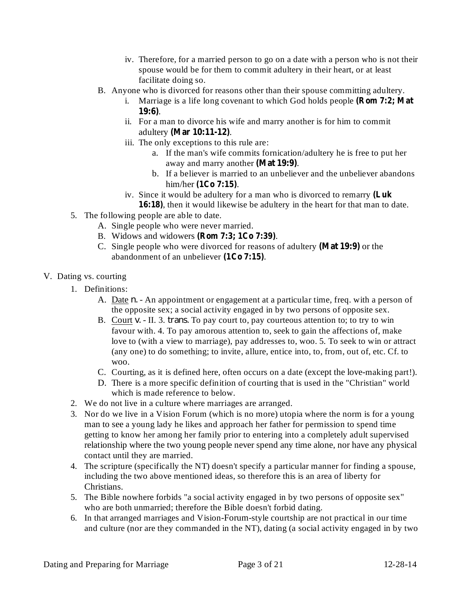- iv. Therefore, for a married person to go on a date with a person who is not their spouse would be for them to commit adultery in their heart, or at least facilitate doing so.
- B. Anyone who is divorced for reasons other than their spouse committing adultery.
	- i. Marriage is a life long covenant to which God holds people **(Rom 7:2; Mat** . **19:6)**
	- ii. For a man to divorce his wife and marry another is for him to commit adultery . **(Mar 10:11-12)**
	- iii. The only exceptions to this rule are:
		- a. If the man's wife commits fornication/adultery he is free to put her away and marry another (Mat 19:9).
		- b. If a believer is married to an unbeliever and the unbeliever abandons him/her (1Co 7:15).
	- iv. Since it would be adultery for a man who is divorced to remarry **(Luk**
	- 16:18), then it would likewise be adultery in the heart for that man to date.
- 5. The following people are able to date.
	- A. Single people who were never married.
	- B. Widows and widowers . **(Rom 7:3; 1Co 7:39)**
	- C. Single people who were divorced for reasons of adultery (Mat 19:9) or the abandonment of an unbeliever (1Co 7:15).
- V. Dating vs. courting
	- 1. Definitions:
		- A. Date *n*. An appointment or engagement at a particular time, freq. with a person of the opposite sex; a social activity engaged in by two persons of opposite sex.
		- B. Court v. II. 3. *trans.* To pay court to, pay courteous attention to; to try to win favour with. 4. To pay amorous attention to, seek to gain the affections of, make love to (with a view to marriage), pay addresses to, woo. 5. To seek to win or attract (any one) to do something; to invite, allure, entice into, to, from, out of, etc. Cf. to woo.
		- C. Courting, as it is defined here, often occurs on a date (except the love-making part!).
		- D. There is a more specific definition of courting that is used in the "Christian" world which is made reference to below.
	- 2. We do not live in a culture where marriages are arranged.
	- 3. Nor do we live in a Vision Forum (which is no more) utopia where the norm is for a young man to see a young lady he likes and approach her father for permission to spend time getting to know her among her family prior to entering into a completely adult supervised relationship where the two young people never spend any time alone, nor have any physical contact until they are married.
	- 4. The scripture (specifically the NT) doesn't specify a particular manner for finding a spouse, including the two above mentioned ideas, so therefore this is an area of liberty for Christians.
	- 5. The Bible nowhere forbids "a social activity engaged in by two persons of opposite sex" who are both unmarried; therefore the Bible doesn't forbid dating.
	- 6. In that arranged marriages and Vision-Forum-style courtship are not practical in our time and culture (nor are they commanded in the NT), dating (a social activity engaged in by two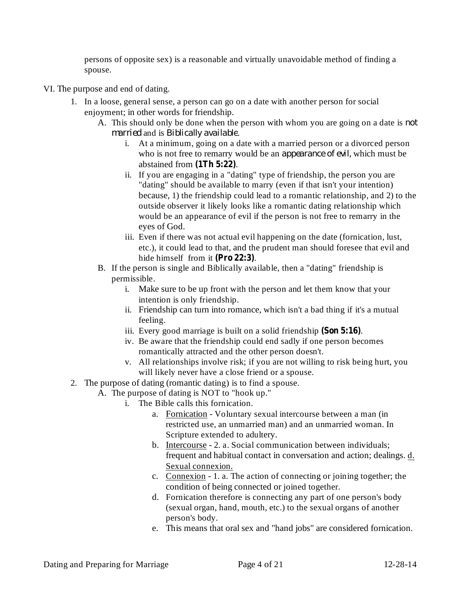persons of opposite sex) is a reasonable and virtually unavoidable method of finding a spouse.

- VI. The purpose and end of dating.
	- 1. In a loose, general sense, a person can go on a date with another person for social enjoyment; in other words for friendship.
		- A. This should only be done when the person with whom you are going on a date is *not* married and is Biblically available.
			- i. At a minimum, going on a date with a married person or a divorced person who is not free to remarry would be an *appearance of evil*, which must be abstained from  $(1Th 5:22)$ .
			- ii. If you are engaging in a "dating" type of friendship, the person you are "dating" should be available to marry (even if that isn't your intention) because, 1) the friendship could lead to a romantic relationship, and 2) to the outside observer it likely looks like a romantic dating relationship which would be an appearance of evil if the person is not free to remarry in the eyes of God.
			- iii. Even if there was not actual evil happening on the date (fornication, lust, etc.), it could lead to that, and the prudent man should foresee that evil and hide himself from it (Pro 22:3).
		- B. If the person is single and Biblically available, then a "dating" friendship is permissible.
			- i. Make sure to be up front with the person and let them know that your intention is only friendship.
			- ii. Friendship can turn into romance, which isn't a bad thing if it's a mutual feeling.
			- iii. Every good marriage is built on a solid friendship (Son 5:16).
			- iv. Be aware that the friendship could end sadly if one person becomes romantically attracted and the other person doesn't.
			- v. All relationships involve risk; if you are not willing to risk being hurt, you will likely never have a close friend or a spouse.
	- 2. The purpose of dating (romantic dating) is to find a spouse.
		- A. The purpose of dating is NOT to "hook up."
			- i. The Bible calls this fornication.
				- a. Fornication Voluntary sexual intercourse between a man (in restricted use, an unmarried man) and an unmarried woman. In Scripture extended to adultery.
				- b. Intercourse 2. a. Social communication between individuals; frequent and habitual contact in conversation and action; dealings. d. Sexual connexion.
				- c. Connexion 1. a. The action of connecting or joining together; the condition of being connected or joined together.
				- d. Fornication therefore is connecting any part of one person's body (sexual organ, hand, mouth, etc.) to the sexual organs of another person's body.
				- e. This means that oral sex and "hand jobs" are considered fornication.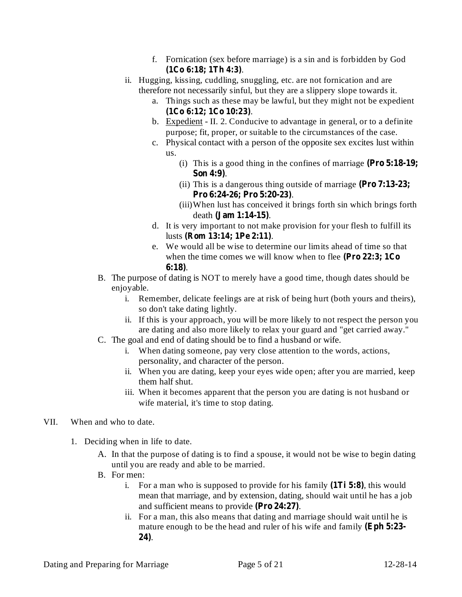- f. Fornication (sex before marriage) is a sin and is forbidden by God . **(1Co 6:18; 1Th 4:3)**
- ii. Hugging, kissing, cuddling, snuggling, etc. are not fornication and are therefore not necessarily sinful, but they are a slippery slope towards it.
	- a. Things such as these may be lawful, but they might not be expedient . **(1Co 6:12; 1Co 10:23)**
	- b. Expedient II. 2. Conducive to advantage in general, or to a definite purpose; fit, proper, or suitable to the circumstances of the case.
	- c. Physical contact with a person of the opposite sex excites lust within us.
		- (i) This is a good thing in the confines of marriage **(Pro 5:18-19;** . **Son 4:9)**
		- (ii) This is a dangerous thing outside of marriage **(Pro 7:13-23;** . **Pro 6:24-26; Pro 5:20-23)**
		- (iii)When lust has conceived it brings forth sin which brings forth death (**Jam** 1:14-15).
	- d. It is very important to not make provision for your flesh to fulfill its lusts (**Rom** 13:14; 1Pe 2:11).
	- e. We would all be wise to determine our limits ahead of time so that when the time comes we will know when to flee **(Pro 22:3; 1Co** . **6:18)**
- B. The purpose of dating is NOT to merely have a good time, though dates should be enjoyable.
	- i. Remember, delicate feelings are at risk of being hurt (both yours and theirs), so don't take dating lightly.
	- ii. If this is your approach, you will be more likely to not respect the person you are dating and also more likely to relax your guard and "get carried away."
- C. The goal and end of dating should be to find a husband or wife.
	- i. When dating someone, pay very close attention to the words, actions, personality, and character of the person.
	- ii. When you are dating, keep your eyes wide open; after you are married, keep them half shut.
	- iii. When it becomes apparent that the person you are dating is not husband or wife material, it's time to stop dating.

## VII. When and who to date.

- 1. Deciding when in life to date.
	- A. In that the purpose of dating is to find a spouse, it would not be wise to begin dating until you are ready and able to be married.
	- B. For men:
		- i. For a man who is supposed to provide for his family  $(1Ti 5:8)$ , this would mean that marriage, and by extension, dating, should wait until he has a job and sufficient means to provide (Pro 24:27).
		- ii. For a man, this also means that dating and marriage should wait until he is mature enough to be the head and ruler of his wife and family **(Eph 5:23-** . **24)**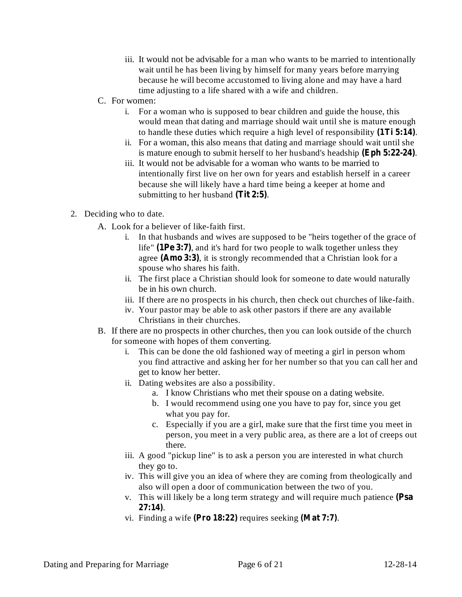- iii. It would not be advisable for a man who wants to be married to intentionally wait until he has been living by himself for many years before marrying because he will become accustomed to living alone and may have a hard time adjusting to a life shared with a wife and children.
- C. For women:
	- i. For a woman who is supposed to bear children and guide the house, this would mean that dating and marriage should wait until she is mature enough to handle these duties which require a high level of responsibility (1Ti 5:14).
	- ii. For a woman, this also means that dating and marriage should wait until she is mature enough to submit herself to her husband's headship (Eph 5:22-24).
	- iii. It would not be advisable for a woman who wants to be married to intentionally first live on her own for years and establish herself in a career because she will likely have a hard time being a keeper at home and submitting to her husband (Tit 2:5).
- 2. Deciding who to date.
	- A. Look for a believer of like-faith first.
		- i. In that husbands and wives are supposed to be "heirs together of the grace of life" (**1Pe 3:7**), and it's hard for two people to walk together unless they agree (Amo 3:3), it is strongly recommended that a Christian look for a spouse who shares his faith.
		- ii. The first place a Christian should look for someone to date would naturally be in his own church.
		- iii. If there are no prospects in his church, then check out churches of like-faith.
		- iv. Your pastor may be able to ask other pastors if there are any available Christians in their churches.
	- B. If there are no prospects in other churches, then you can look outside of the church for someone with hopes of them converting.
		- i. This can be done the old fashioned way of meeting a girl in person whom you find attractive and asking her for her number so that you can call her and get to know her better.
		- ii. Dating websites are also a possibility.
			- a. I know Christians who met their spouse on a dating website.
			- b. I would recommend using one you have to pay for, since you get what you pay for.
			- c. Especially if you are a girl, make sure that the first time you meet in person, you meet in a very public area, as there are a lot of creeps out there.
		- iii. A good "pickup line" is to ask a person you are interested in what church they go to.
		- iv. This will give you an idea of where they are coming from theologically and also will open a door of communication between the two of you.
		- v. This will likely be a long term strategy and will require much patience **(Psa** . **27:14)**
		- vi. Finding a wife (Pro  $18:22$ ) requires seeking (Mat 7:7).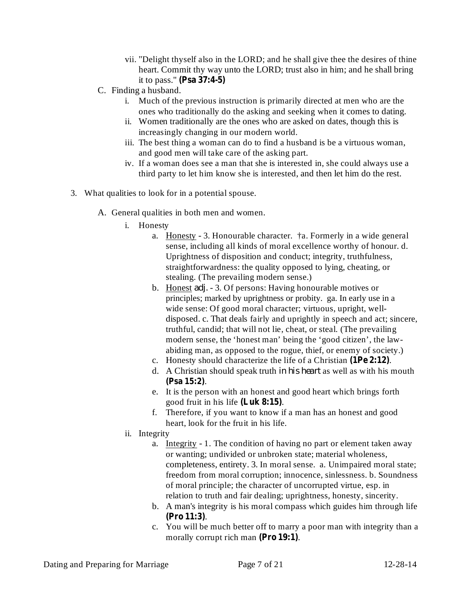- vii. "Delight thyself also in the LORD; and he shall give thee the desires of thine heart. Commit thy way unto the LORD; trust also in him; and he shall bring it to pass." **(Psa 37:4-5)**
- C. Finding a husband.
	- i. Much of the previous instruction is primarily directed at men who are the ones who traditionally do the asking and seeking when it comes to dating.
	- ii. Women traditionally are the ones who are asked on dates, though this is increasingly changing in our modern world.
	- iii. The best thing a woman can do to find a husband is be a virtuous woman, and good men will take care of the asking part.
	- iv. If a woman does see a man that she is interested in, she could always use a third party to let him know she is interested, and then let him do the rest.
- 3. What qualities to look for in a potential spouse.
	- A. General qualities in both men and women.
		- i. Honesty
			- a. Honesty 3. Honourable character. †a. Formerly in a wide general sense, including all kinds of moral excellence worthy of honour. d. Uprightness of disposition and conduct; integrity, truthfulness, straightforwardness: the quality opposed to lying, cheating, or stealing. (The prevailing modern sense.)
			- b. Honest *adj.* 3. Of persons: Having honourable motives or principles; marked by uprightness or probity. ga. In early use in a wide sense: Of good moral character; virtuous, upright, welldisposed. c. That deals fairly and uprightly in speech and act; sincere, truthful, candid; that will not lie, cheat, or steal. (The prevailing modern sense, the 'honest man' being the 'good citizen', the lawabiding man, as opposed to the rogue, thief, or enemy of society.)
			- c. Honesty should characterize the life of a Christian  $(1Pe 2:12)$ .
			- d. A Christian should speak truth in his heart as well as with his mouth . **(Psa 15:2)**
			- e. It is the person with an honest and good heart which brings forth good fruit in his life (Luk 8:15).
			- f. Therefore, if you want to know if a man has an honest and good heart, look for the fruit in his life.
		- ii. Integrity
			- a. Integrity 1. The condition of having no part or element taken away or wanting; undivided or unbroken state; material wholeness, completeness, entirety. 3. In moral sense. a. Unimpaired moral state; freedom from moral corruption; innocence, sinlessness. b. Soundness of moral principle; the character of uncorrupted virtue, esp. in relation to truth and fair dealing; uprightness, honesty, sincerity.
			- b. A man's integrity is his moral compass which guides him through life . **(Pro 11:3)**
			- c. You will be much better off to marry a poor man with integrity than a morally corrupt rich man (Pro 19:1).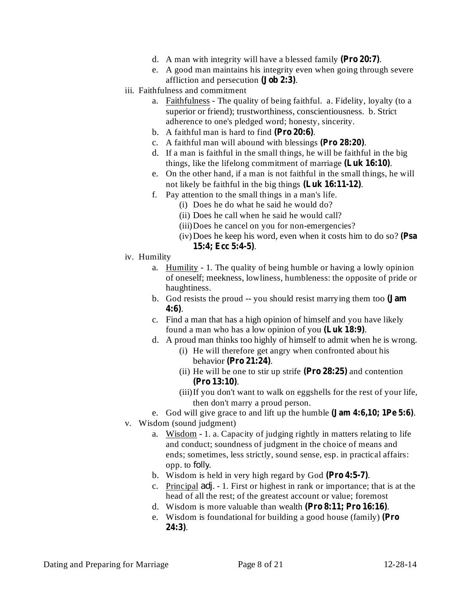- d. A man with integrity will have a blessed family (Pro 20:7).
- e. A good man maintains his integrity even when going through severe affliction and persecution (**Job** 2:3).
- iii. Faithfulness and commitment
	- a. Faithfulness The quality of being faithful. a. Fidelity, loyalty (to a superior or friend); trustworthiness, conscientiousness. b. Strict adherence to one's pledged word; honesty, sincerity.
	- b. A faithful man is hard to find  $(Pro 20:6)$ .
	- c. A faithful man will abound with blessings (Pro  $28:20$ ).
	- d. If a man is faithful in the small things, he will be faithful in the big things, like the lifelong commitment of marriage (Luk 16:10).
	- e. On the other hand, if a man is not faithful in the small things, he will not likely be faithful in the big things (Luk 16:11-12).
	- f. Pay attention to the small things in a man's life.
		- (i) Does he do what he said he would do?
		- (ii) Does he call when he said he would call?
		- (iii)Does he cancel on you for non-emergencies?
		- (iv)Does he keep his word, even when it costs him to do so? **(Psa** . **15:4; Ecc 5:4-5)**
- iv. Humility
	- a. Humility 1. The quality of being humble or having a lowly opinion of oneself; meekness, lowliness, humbleness: the opposite of pride or haughtiness.
	- b. God resists the proud -- you should resist marrying them too **(Jam** . **4:6)**
	- c. Find a man that has a high opinion of himself and you have likely found a man who has a low opinion of you (Luk 18:9).
	- d. A proud man thinks too highly of himself to admit when he is wrong.
		- (i) He will therefore get angry when confronted about his **behavior** (Pro 21:24).
		- (ii) He will be one to stir up strife  $(Pro 28:25)$  and contention . **(Pro 13:10)**
		- (iii)If you don't want to walk on eggshells for the rest of your life, then don't marry a proud person.
	- e. God will give grace to and lift up the humble  $(Jam 4:6,10; 1Pe 5:6)$ .
- v. Wisdom (sound judgment)
	- a. Wisdom 1. a. Capacity of judging rightly in matters relating to life and conduct; soundness of judgment in the choice of means and ends; sometimes, less strictly, sound sense, esp. in practical affairs: opp. to *folly*.
	- b. Wisdom is held in very high regard by God (Pro 4:5-7).
	- c. Principal *adj*. 1. First or highest in rank or importance; that is at the head of all the rest; of the greatest account or value; foremost
	- d. Wisdom is more valuable than wealth (Pro 8:11; Pro 16:16).
	- e. Wisdom is foundational for building a good house (family) **(Pro** . **24:3)**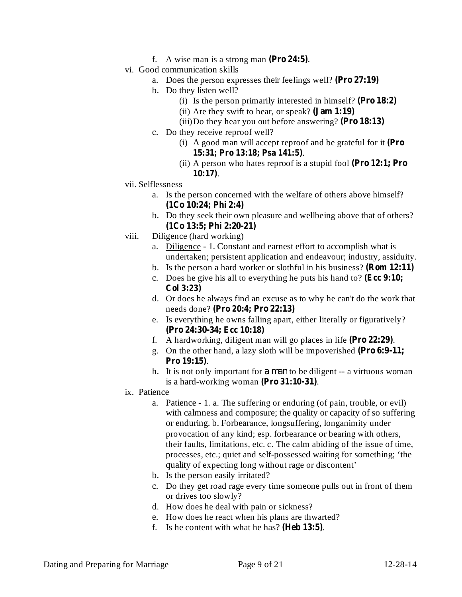- f. A wise man is a strong man  $(Pro 24:5)$ .
- vi. Good communication skills
	- a. Does the person expresses their feelings well? **(Pro 27:19)**
	- b. Do they listen well?
		- (i) Is the person primarily interested in himself? **(Pro 18:2)**
		- (ii) Are they swift to hear, or speak? **(Jam 1:19)**
		- (iii)Do they hear you out before answering? **(Pro 18:13)**
	- c. Do they receive reproof well?
		- (i) A good man will accept reproof and be grateful for it **(Pro** . **15:31; Pro 13:18; Psa 141:5)**
		- (ii) A person who hates reproof is a stupid fool **(Pro 12:1; Pro** . **10:17)**
- vii. Selflessness
	- a. Is the person concerned with the welfare of others above himself? **(1Co 10:24; Phi 2:4)**
	- b. Do they seek their own pleasure and wellbeing above that of others? **(1Co 13:5; Phi 2:20-21)**
- viii. Diligence (hard working)
	- a. Diligence 1. Constant and earnest effort to accomplish what is undertaken; persistent application and endeavour; industry, assiduity.
	- b. Is the person a hard worker or slothful in his business? **(Rom 12:11)**
	- c. Does he give his all to everything he puts his hand to? **(Ecc 9:10; Col 3:23)**
	- d. Or does he always find an excuse as to why he can't do the work that needs done? **(Pro 20:4; Pro 22:13)**
	- e. Is everything he owns falling apart, either literally or figuratively? **(Pro 24:30-34; Ecc 10:18)**
	- f. A hardworking, diligent man will go places in life (Pro 22:29).
	- g. On the other hand, a lazy sloth will be impoverished **(Pro 6:9-11;** . **Pro 19:15)**
	- h. It is not only important for *a man* to be diligent -- a virtuous woman is a hard-working woman (Pro 31:10-31).
- ix. Patience
	- a. Patience 1. a. The suffering or enduring (of pain, trouble, or evil) with calmness and composure; the quality or capacity of so suffering or enduring. b. Forbearance, longsuffering, longanimity under provocation of any kind; esp. forbearance or bearing with others, their faults, limitations, etc. c. The calm abiding of the issue of time, processes, etc.; quiet and self-possessed waiting for something; 'the quality of expecting long without rage or discontent'
	- b. Is the person easily irritated?
	- c. Do they get road rage every time someone pulls out in front of them or drives too slowly?
	- d. How does he deal with pain or sickness?
	- e. How does he react when his plans are thwarted?
	- f. Is he content with what he has? (**Heb 13:5**).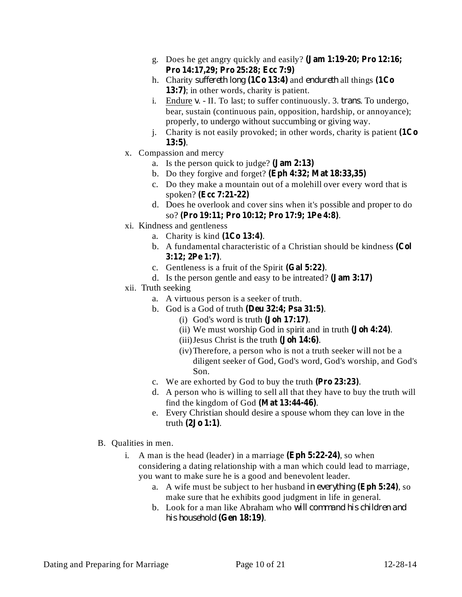- g. Does he get angry quickly and easily? **(Jam 1:19-20; Pro 12:16; Pro 14:17,29; Pro 25:28; Ecc 7:9)**
- h. Charity *suffereth long* (1Co 13:4) and *endureth* all things (1Co 13:7); in other words, charity is patient.
- i. Endure *v*. II. To last; to suffer continuously. 3. *trans*. To undergo, bear, sustain (continuous pain, opposition, hardship, or annoyance); properly, to undergo without succumbing or giving way.
- j. Charity is not easily provoked; in other words, charity is patient **(1Co** . **13:5)**
- x. Compassion and mercy
	- a. Is the person quick to judge? **(Jam 2:13)**
	- b. Do they forgive and forget? **(Eph 4:32; Mat 18:33,35)**
	- c. Do they make a mountain out of a molehill over every word that is spoken? **(Ecc 7:21-22)**
	- d. Does he overlook and cover sins when it's possible and proper to do so? . **(Pro 19:11; Pro 10:12; Pro 17:9; 1Pe 4:8)**
- xi. Kindness and gentleness
	- a. Charity is kind  $(1Co 13:4)$ .
	- b. A fundamental characteristic of a Christian should be kindness **(Col** . **3:12; 2Pe 1:7)**
	- c. Gentleness is a fruit of the Spirit  $(Gal 5:22)$ .
	- d. Is the person gentle and easy to be intreated? **(Jam 3:17)**
- xii. Truth seeking
	- a. A virtuous person is a seeker of truth.
	- b. God is a God of truth . **(Deu 32:4; Psa 31:5)**
		- $(i)$  God's word is truth  $(Joh 17:17)$ .
		- (ii) We must worship God in spirit and in truth (**Joh 4:24**).
		- (iii) Jesus Christ is the truth (Joh 14:6).
		- (iv)Therefore, a person who is not a truth seeker will not be a diligent seeker of God, God's word, God's worship, and God's Son.
	- c. We are exhorted by God to buy the truth  $(Pro 23:23)$ .
	- d. A person who is willing to sell all that they have to buy the truth will find the kingdom of God (Mat  $13:44-46$ ).
	- e. Every Christian should desire a spouse whom they can love in the  $truth (2Jo 1:1).$
- B. Qualities in men.
	- i. A man is the head (leader) in a marriage  $(Eph 5:22-24)$ , so when considering a dating relationship with a man which could lead to marriage, you want to make sure he is a good and benevolent leader.
		- a. A wife must be subject to her husband in everything (Eph 5:24), so make sure that he exhibits good judgment in life in general.
		- b. Look for a man like Abraham who *will command his children and* . **(Gen 18:19)** *his household*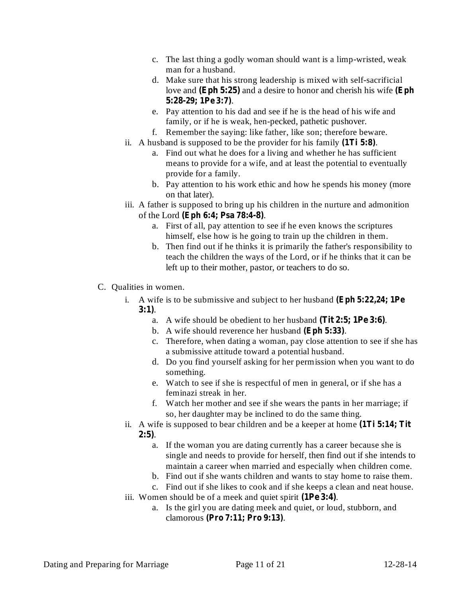- c. The last thing a godly woman should want is a limp-wristed, weak man for a husband.
- d. Make sure that his strong leadership is mixed with self-sacrificial love and (Eph 5:25) and a desire to honor and cherish his wife (Eph . **5:28-29; 1Pe 3:7)**
- e. Pay attention to his dad and see if he is the head of his wife and family, or if he is weak, hen-pecked, pathetic pushover.
- f. Remember the saying: like father, like son; therefore beware.
- ii. A husband is supposed to be the provider for his family  $(1Ti 5:8)$ .
	- a. Find out what he does for a living and whether he has sufficient means to provide for a wife, and at least the potential to eventually provide for a family.
	- b. Pay attention to his work ethic and how he spends his money (more on that later).
- iii. A father is supposed to bring up his children in the nurture and admonition of the Lord . **(Eph 6:4; Psa 78:4-8)**
	- a. First of all, pay attention to see if he even knows the scriptures himself, else how is he going to train up the children in them.
	- b. Then find out if he thinks it is primarily the father's responsibility to teach the children the ways of the Lord, or if he thinks that it can be left up to their mother, pastor, or teachers to do so.
- C. Qualities in women.
	- i. A wife is to be submissive and subject to her husband **(Eph 5:22,24; 1Pe** . **3:1)**
		- a. A wife should be obedient to her husband (Tit 2:5; 1Pe 3:6).
		- b. A wife should reverence her husband (Eph 5:33).
		- c. Therefore, when dating a woman, pay close attention to see if she has a submissive attitude toward a potential husband.
		- d. Do you find yourself asking for her permission when you want to do something.
		- e. Watch to see if she is respectful of men in general, or if she has a feminazi streak in her.
		- f. Watch her mother and see if she wears the pants in her marriage; if so, her daughter may be inclined to do the same thing.
	- ii. A wife is supposed to bear children and be a keeper at home **(1Ti 5:14; Tit** . **2:5)**
		- a. If the woman you are dating currently has a career because she is single and needs to provide for herself, then find out if she intends to maintain a career when married and especially when children come.
		- b. Find out if she wants children and wants to stay home to raise them.
	- c. Find out if she likes to cook and if she keeps a clean and neat house. iii. Women should be of a meek and quiet spirit (**1Pe** 3:4).
		- a. Is the girl you are dating meek and quiet, or loud, stubborn, and clamorous . **(Pro 7:11; Pro 9:13)**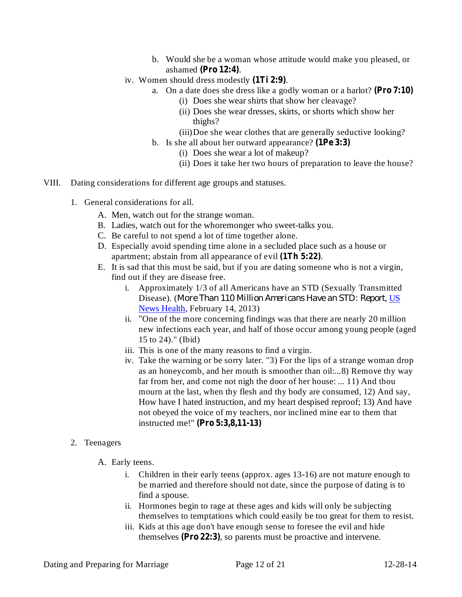- b. Would she be a woman whose attitude would make you pleased, or ashamed (Pro 12:4).
- iv. Women should dress modestly (1Ti 2:9).
	- a. On a date does she dress like a godly woman or a harlot? **(Pro 7:10)**
		- (i) Does she wear shirts that show her cleavage?
		- (ii) Does she wear dresses, skirts, or shorts which show her thighs?
		- (iii)Doe she wear clothes that are generally seductive looking?
	- b. Is she all about her outward appearance? **(1Pe 3:3)**
		- (i) Does she wear a lot of makeup?
		- (ii) Does it take her two hours of preparation to leave the house?
- VIII. Dating considerations for different age groups and statuses.
	- 1. General considerations for all.
		- A. Men, watch out for the strange woman.
		- B. Ladies, watch out for the whoremonger who sweet-talks you.
		- C. Be careful to not spend a lot of time together alone.
		- D. Especially avoid spending time alone in a secluded place such as a house or apartment; abstain from all appearance of evil (1Th 5:22).
		- E. It is sad that this must be said, but if you are dating someone who is not a virgin, find out if they are disease free.
			- i. Approximately 1/3 of all Americans have an STD (Sexually Transmitted **Disease).** (More Than 110 Million Americans Have an STD: Report, US News Health, February 14, 2013)
			- ii. "One of the more concerning findings was that there are nearly 20 million new infections each year, and half of those occur among young people (aged 15 to 24)." (Ibid)
			- iii. This is one of the many reasons to find a virgin.
			- iv. Take the warning or be sorry later. "3) For the lips of a strange woman drop as an honeycomb, and her mouth is smoother than oil:...8) Remove thy way far from her, and come not nigh the door of her house: ... 11) And thou mourn at the last, when thy flesh and thy body are consumed, 12) And say, How have I hated instruction, and my heart despised reproof; 13) And have not obeyed the voice of my teachers, nor inclined mine ear to them that instructed me!" **(Pro 5:3,8,11-13)**

## 2. Teenagers

- A. Early teens.
	- i. Children in their early teens (approx. ages 13-16) are not mature enough to be married and therefore should not date, since the purpose of dating is to find a spouse.
	- ii. Hormones begin to rage at these ages and kids will only be subjecting themselves to temptations which could easily be too great for them to resist.
	- iii. Kids at this age don't have enough sense to foresee the evil and hide themselves (Pro 22:3), so parents must be proactive and intervene.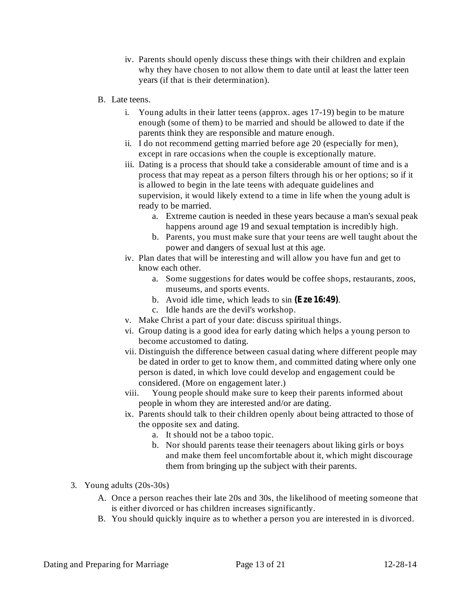- iv. Parents should openly discuss these things with their children and explain why they have chosen to not allow them to date until at least the latter teen years (if that is their determination).
- B. Late teens.
	- i. Young adults in their latter teens (approx. ages 17-19) begin to be mature enough (some of them) to be married and should be allowed to date if the parents think they are responsible and mature enough.
	- ii. I do not recommend getting married before age 20 (especially for men), except in rare occasions when the couple is exceptionally mature.
	- iii. Dating is a process that should take a considerable amount of time and is a process that may repeat as a person filters through his or her options; so if it is allowed to begin in the late teens with adequate guidelines and supervision, it would likely extend to a time in life when the young adult is ready to be married.
		- a. Extreme caution is needed in these years because a man's sexual peak happens around age 19 and sexual temptation is incredibly high.
		- b. Parents, you must make sure that your teens are well taught about the power and dangers of sexual lust at this age.
	- iv. Plan dates that will be interesting and will allow you have fun and get to know each other.
		- a. Some suggestions for dates would be coffee shops, restaurants, zoos, museums, and sports events.
		- b. Avoid idle time, which leads to sin (Eze 16:49).
		- c. Idle hands are the devil's workshop.
	- v. Make Christ a part of your date: discuss spiritual things.
	- vi. Group dating is a good idea for early dating which helps a young person to become accustomed to dating.
	- vii. Distinguish the difference between casual dating where different people may be dated in order to get to know them, and committed dating where only one person is dated, in which love could develop and engagement could be considered. (More on engagement later.)
	- viii. Young people should make sure to keep their parents informed about people in whom they are interested and/or are dating.
	- ix. Parents should talk to their children openly about being attracted to those of the opposite sex and dating.
		- a. It should not be a taboo topic.
		- b. Nor should parents tease their teenagers about liking girls or boys and make them feel uncomfortable about it, which might discourage them from bringing up the subject with their parents.
- 3. Young adults (20s-30s)
	- A. Once a person reaches their late 20s and 30s, the likelihood of meeting someone that is either divorced or has children increases significantly.
	- B. You should quickly inquire as to whether a person you are interested in is divorced.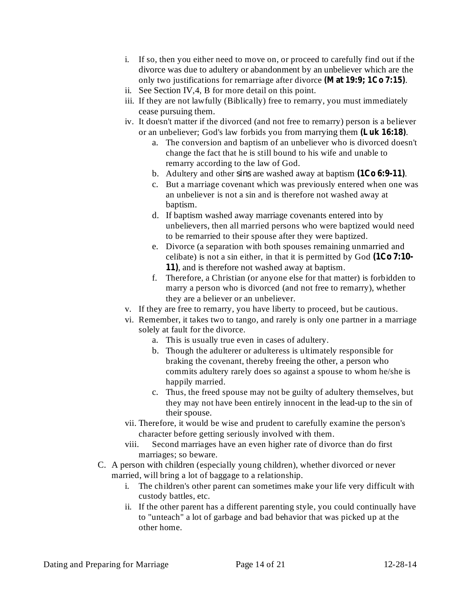- i. If so, then you either need to move on, or proceed to carefully find out if the divorce was due to adultery or abandonment by an unbeliever which are the only two justifications for remarriage after divorce (Mat 19:9; 1Co 7:15).
- ii. See Section IV,4, B for more detail on this point.
- iii. If they are not lawfully (Biblically) free to remarry, you must immediately cease pursuing them.
- iv. It doesn't matter if the divorced (and not free to remarry) person is a believer or an unbeliever; God's law forbids you from marrying them (Luk 16:18).
	- a. The conversion and baptism of an unbeliever who is divorced doesn't change the fact that he is still bound to his wife and unable to remarry according to the law of God.
	- b. Adultery and other *sins* are washed away at baptism  $(1Co 6:9-11)$ .
	- c. But a marriage covenant which was previously entered when one was an unbeliever is not a sin and is therefore not washed away at baptism.
	- d. If baptism washed away marriage covenants entered into by unbelievers, then all married persons who were baptized would need to be remarried to their spouse after they were baptized.
	- e. Divorce (a separation with both spouses remaining unmarried and celibate) is not a sin either, in that it is permitted by God **(1Co 7:10-** 11), and is therefore not washed away at baptism.
	- f. Therefore, a Christian (or anyone else for that matter) is forbidden to marry a person who is divorced (and not free to remarry), whether they are a believer or an unbeliever.
- v. If they are free to remarry, you have liberty to proceed, but be cautious.
- vi. Remember, it takes two to tango, and rarely is only one partner in a marriage solely at fault for the divorce.
	- a. This is usually true even in cases of adultery.
	- b. Though the adulterer or adulteress is ultimately responsible for braking the covenant, thereby freeing the other, a person who commits adultery rarely does so against a spouse to whom he/she is happily married.
	- c. Thus, the freed spouse may not be guilty of adultery themselves, but they may not have been entirely innocent in the lead-up to the sin of their spouse.
- vii. Therefore, it would be wise and prudent to carefully examine the person's character before getting seriously involved with them.
- viii. Second marriages have an even higher rate of divorce than do first marriages; so beware.
- C. A person with children (especially young children), whether divorced or never married, will bring a lot of baggage to a relationship.
	- i. The children's other parent can sometimes make your life very difficult with custody battles, etc.
	- ii. If the other parent has a different parenting style, you could continually have to "unteach" a lot of garbage and bad behavior that was picked up at the other home.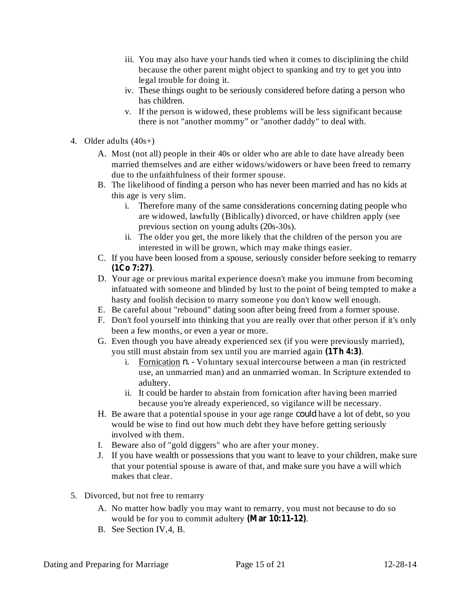- iii. You may also have your hands tied when it comes to disciplining the child because the other parent might object to spanking and try to get you into legal trouble for doing it.
- iv. These things ought to be seriously considered before dating a person who has children.
- v. If the person is widowed, these problems will be less significant because there is not "another mommy" or "another daddy" to deal with.
- 4. Older adults (40s+)
	- A. Most (not all) people in their 40s or older who are able to date have already been married themselves and are either widows/widowers or have been freed to remarry due to the unfaithfulness of their former spouse.
	- B. The likelihood of finding a person who has never been married and has no kids at this age is very slim.
		- i. Therefore many of the same considerations concerning dating people who are widowed, lawfully (Biblically) divorced, or have children apply (see previous section on young adults (20s-30s).
		- ii. The older you get, the more likely that the children of the person you are interested in will be grown, which may make things easier.
	- C. If you have been loosed from a spouse, seriously consider before seeking to remarry . **(1Co 7:27)**
	- D. Your age or previous marital experience doesn't make you immune from becoming infatuated with someone and blinded by lust to the point of being tempted to make a hasty and foolish decision to marry someone you don't know well enough.
	- E. Be careful about "rebound" dating soon after being freed from a former spouse.
	- F. Don't fool yourself into thinking that you are really over that other person if it's only been a few months, or even a year or more.
	- G. Even though you have already experienced sex (if you were previously married), you still must abstain from sex until you are married again (1Th 4:3).
		- i. Fornication *n*. Voluntary sexual intercourse between a man (in restricted use, an unmarried man) and an unmarried woman. In Scripture extended to adultery.
		- ii. It could be harder to abstain from fornication after having been married because you're already experienced, so vigilance will be necessary.
	- H. Be aware that a potential spouse in your age range *could* have a lot of debt, so you would be wise to find out how much debt they have before getting seriously involved with them.
	- I. Beware also of "gold diggers" who are after your money.
	- J. If you have wealth or possessions that you want to leave to your children, make sure that your potential spouse is aware of that, and make sure you have a will which makes that clear.
- 5. Divorced, but not free to remarry
	- A. No matter how badly you may want to remarry, you must not because to do so would be for you to commit adultery (Mar 10:11-12).
	- B. See Section IV,4, B.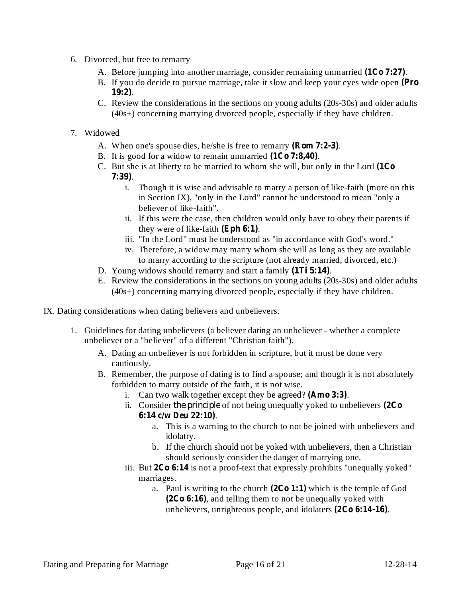- 6. Divorced, but free to remarry
	- A. Before jumping into another marriage, consider remaining unmarried  $(1C<sub>0</sub> 7:27)$ .
	- B. If you do decide to pursue marriage, take it slow and keep your eyes wide open **(Pro** . **19:2)**
	- C. Review the considerations in the sections on young adults (20s-30s) and older adults (40s+) concerning marrying divorced people, especially if they have children.
- 7. Widowed
	- A. When one's spouse dies, he/she is free to remarry (**Rom 7:2-3**).
	- B. It is good for a widow to remain unmarried  $(1Co 7:8,40)$ .
	- C. But she is at liberty to be married to whom she will, but only in the Lord **(1Co** . **7:39)**
		- i. Though it is wise and advisable to marry a person of like-faith (more on this in Section IX), "only in the Lord" cannot be understood to mean "only a believer of like-faith".
		- ii. If this were the case, then children would only have to obey their parents if they were of like-faith  $(Eph 6:1)$ .
		- iii. "In the Lord" must be understood as "in accordance with God's word."
		- iv. Therefore, a widow may marry whom she will as long as they are available to marry according to the scripture (not already married, divorced, etc.)
	- D. Young widows should remarry and start a family (1Ti 5:14).
	- E. Review the considerations in the sections on young adults (20s-30s) and older adults (40s+) concerning marrying divorced people, especially if they have children.
- IX. Dating considerations when dating believers and unbelievers.
	- 1. Guidelines for dating unbelievers (a believer dating an unbeliever whether a complete unbeliever or a "believer" of a different "Christian faith").
		- A. Dating an unbeliever is not forbidden in scripture, but it must be done very cautiously.
		- B. Remember, the purpose of dating is to find a spouse; and though it is not absolutely forbidden to marry outside of the faith, it is not wise.
			- i. Can two walk together except they be agreed? (Amo 3:3).
			- ii. Consider the principle of not being unequally yoked to unbelievers (2Co . **6:14 c/w Deu 22:10)**
				- a. This is a warning to the church to not be joined with unbelievers and idolatry.
				- b. If the church should not be yoked with unbelievers, then a Christian should seriously consider the danger of marrying one.
			- iii. But 2Co 6:14 is not a proof-text that expressly prohibits "unequally yoked" marriages.
				- a. Paul is writing to the church  $(2Co 1:1)$  which is the temple of God , and telling them to not be unequally yoked with **(2Co 6:16)** unbelievers, unrighteous people, and idolaters (2Co 6:14-16).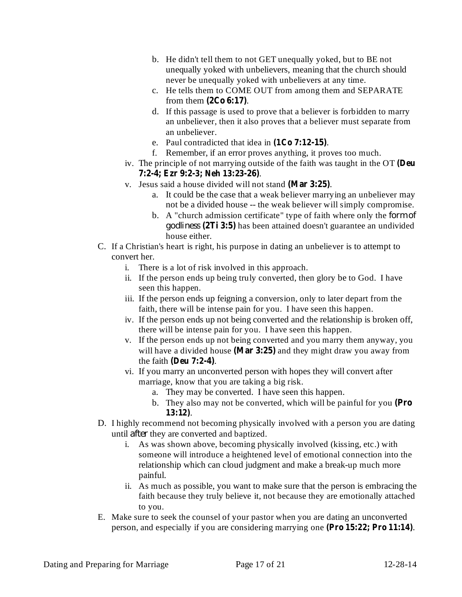- b. He didn't tell them to not GET unequally yoked, but to BE not unequally yoked with unbelievers, meaning that the church should never be unequally yoked with unbelievers at any time.
- c. He tells them to COME OUT from among them and SEPARATE from them  $(2Co 6:17)$ .
- d. If this passage is used to prove that a believer is forbidden to marry an unbeliever, then it also proves that a believer must separate from an unbeliever.
- e. Paul contradicted that idea in  $(1Co 7:12-15)$ .
- f. Remember, if an error proves anything, it proves too much.
- iv. The principle of not marrying outside of the faith was taught in the OT **(Deu** . **7:2-4; Ezr 9:2-3; Neh 13:23-26)**
- v. Jesus said a house divided will not stand (Mar 3:25).
	- a. It could be the case that a weak believer marrying an unbeliever may not be a divided house -- the weak believer will simply compromise.
	- b. A "church admission certificate" type of faith where only the *form of* has been attained doesn't guarantee an undivided **(2Ti 3:5)** *godliness* house either.
- C. If a Christian's heart is right, his purpose in dating an unbeliever is to attempt to convert her.
	- i. There is a lot of risk involved in this approach.
	- ii. If the person ends up being truly converted, then glory be to God. I have seen this happen.
	- iii. If the person ends up feigning a conversion, only to later depart from the faith, there will be intense pain for you. I have seen this happen.
	- iv. If the person ends up not being converted and the relationship is broken off, there will be intense pain for you. I have seen this happen.
	- v. If the person ends up not being converted and you marry them anyway, you will have a divided house (Mar  $3:25$ ) and they might draw you away from the faith (Deu 7:2-4).
	- vi. If you marry an unconverted person with hopes they will convert after marriage, know that you are taking a big risk.
		- a. They may be converted. I have seen this happen.
		- b. They also may not be converted, which will be painful for you **(Pro** . **13:12)**
- D. I highly recommend not becoming physically involved with a person you are dating until *after* they are converted and baptized.
	- i. As was shown above, becoming physically involved (kissing, etc.) with someone will introduce a heightened level of emotional connection into the relationship which can cloud judgment and make a break-up much more painful.
	- ii. As much as possible, you want to make sure that the person is embracing the faith because they truly believe it, not because they are emotionally attached to you.
- E. Make sure to seek the counsel of your pastor when you are dating an unconverted person, and especially if you are considering marrying one (Pro 15:22; Pro 11:14).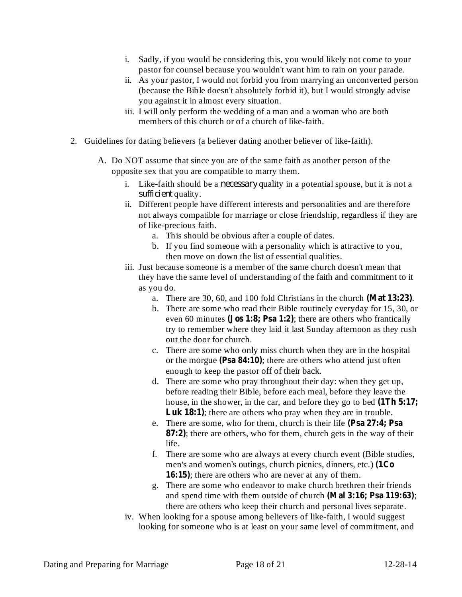- i. Sadly, if you would be considering this, you would likely not come to your pastor for counsel because you wouldn't want him to rain on your parade.
- ii. As your pastor, I would not forbid you from marrying an unconverted person (because the Bible doesn't absolutely forbid it), but I would strongly advise you against it in almost every situation.
- iii. I will only perform the wedding of a man and a woman who are both members of this church or of a church of like-faith.
- 2. Guidelines for dating believers (a believer dating another believer of like-faith).
	- A. Do NOT assume that since you are of the same faith as another person of the opposite sex that you are compatible to marry them.
		- i. Like-faith should be a *necessary* quality in a potential spouse, but it is not a sufficient quality.
		- ii. Different people have different interests and personalities and are therefore not always compatible for marriage or close friendship, regardless if they are of like-precious faith.
			- a. This should be obvious after a couple of dates.
			- b. If you find someone with a personality which is attractive to you, then move on down the list of essential qualities.
		- iii. Just because someone is a member of the same church doesn't mean that they have the same level of understanding of the faith and commitment to it as you do.
			- a. There are 30, 60, and 100 fold Christians in the church (Mat 13:23).
			- b. There are some who read their Bible routinely everyday for 15, 30, or even 60 minutes (**Jos 1:8**; **Psa 1:2**); there are others who frantically try to remember where they laid it last Sunday afternoon as they rush out the door for church.
			- c. There are some who only miss church when they are in the hospital or the morgue (Psa 84:10); there are others who attend just often enough to keep the pastor off of their back.
			- d. There are some who pray throughout their day: when they get up, before reading their Bible, before each meal, before they leave the house, in the shower, in the car, and before they go to bed **(1Th 5:17;** Luk 18:1); there are others who pray when they are in trouble.
			- e. There are some, who for them, church is their life **(Psa 27:4; Psa 87:2**); there are others, who for them, church gets in the way of their life.
			- f. There are some who are always at every church event (Bible studies, men's and women's outings, church picnics, dinners, etc.) **(1Co** 16:15); there are others who are never at any of them.
			- g. There are some who endeavor to make church brethren their friends and spend time with them outside of church (Mal 3:16; Psa 119:63); there are others who keep their church and personal lives separate.
		- iv. When looking for a spouse among believers of like-faith, I would suggest looking for someone who is at least on your same level of commitment, and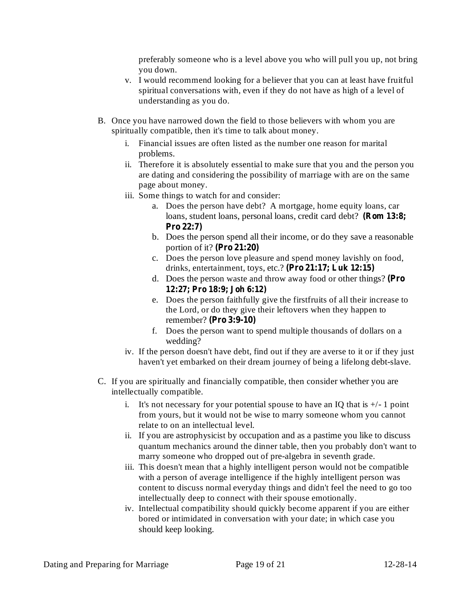preferably someone who is a level above you who will pull you up, not bring you down.

- v. I would recommend looking for a believer that you can at least have fruitful spiritual conversations with, even if they do not have as high of a level of understanding as you do.
- B. Once you have narrowed down the field to those believers with whom you are spiritually compatible, then it's time to talk about money.
	- i. Financial issues are often listed as the number one reason for marital problems.
	- ii. Therefore it is absolutely essential to make sure that you and the person you are dating and considering the possibility of marriage with are on the same page about money.
	- iii. Some things to watch for and consider:
		- a. Does the person have debt? A mortgage, home equity loans, car loans, student loans, personal loans, credit card debt? **(Rom 13:8; Pro 22:7)**
		- b. Does the person spend all their income, or do they save a reasonable portion of it? **(Pro 21:20)**
		- c. Does the person love pleasure and spend money lavishly on food, drinks, entertainment, toys, etc.? **(Pro 21:17; Luk 12:15)**
		- d. Does the person waste and throw away food or other things? **(Pro 12:27; Pro 18:9; Joh 6:12)**
		- e. Does the person faithfully give the firstfruits of all their increase to the Lord, or do they give their leftovers when they happen to remember? **(Pro 3:9-10)**
		- f. Does the person want to spend multiple thousands of dollars on a wedding?
	- iv. If the person doesn't have debt, find out if they are averse to it or if they just haven't yet embarked on their dream journey of being a lifelong debt-slave.
- C. If you are spiritually and financially compatible, then consider whether you are intellectually compatible.
	- i. It's not necessary for your potential spouse to have an IQ that is  $+/-1$  point from yours, but it would not be wise to marry someone whom you cannot relate to on an intellectual level.
	- ii. If you are astrophysicist by occupation and as a pastime you like to discuss quantum mechanics around the dinner table, then you probably don't want to marry someone who dropped out of pre-algebra in seventh grade.
	- iii. This doesn't mean that a highly intelligent person would not be compatible with a person of average intelligence if the highly intelligent person was content to discuss normal everyday things and didn't feel the need to go too intellectually deep to connect with their spouse emotionally.
	- iv. Intellectual compatibility should quickly become apparent if you are either bored or intimidated in conversation with your date; in which case you should keep looking.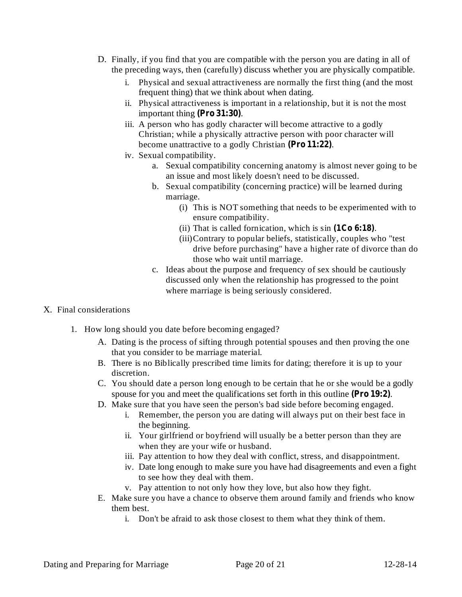- D. Finally, if you find that you are compatible with the person you are dating in all of the preceding ways, then (carefully) discuss whether you are physically compatible.
	- i. Physical and sexual attractiveness are normally the first thing (and the most frequent thing) that we think about when dating.
	- ii. Physical attractiveness is important in a relationship, but it is not the most important thing  $(Pro 31:30)$ .
	- iii. A person who has godly character will become attractive to a godly Christian; while a physically attractive person with poor character will become unattractive to a godly Christian (Pro 11:22).
	- iv. Sexual compatibility.
		- a. Sexual compatibility concerning anatomy is almost never going to be an issue and most likely doesn't need to be discussed.
		- b. Sexual compatibility (concerning practice) will be learned during marriage.
			- (i) This is NOT something that needs to be experimented with to ensure compatibility.
			- (ii) That is called fornication, which is  $sin(1Co 6:18)$ .
			- (iii)Contrary to popular beliefs, statistically, couples who "test drive before purchasing" have a higher rate of divorce than do those who wait until marriage.
		- c. Ideas about the purpose and frequency of sex should be cautiously discussed only when the relationship has progressed to the point where marriage is being seriously considered.
- X. Final considerations
	- 1. How long should you date before becoming engaged?
		- A. Dating is the process of sifting through potential spouses and then proving the one that you consider to be marriage material.
		- B. There is no Biblically prescribed time limits for dating; therefore it is up to your discretion.
		- C. You should date a person long enough to be certain that he or she would be a godly spouse for you and meet the qualifications set forth in this outline (Pro 19:2).
		- D. Make sure that you have seen the person's bad side before becoming engaged.
			- i. Remember, the person you are dating will always put on their best face in the beginning.
			- ii. Your girlfriend or boyfriend will usually be a better person than they are when they are your wife or husband.
			- iii. Pay attention to how they deal with conflict, stress, and disappointment.
			- iv. Date long enough to make sure you have had disagreements and even a fight to see how they deal with them.
			- v. Pay attention to not only how they love, but also how they fight.
		- E. Make sure you have a chance to observe them around family and friends who know them best.
			- i. Don't be afraid to ask those closest to them what they think of them.